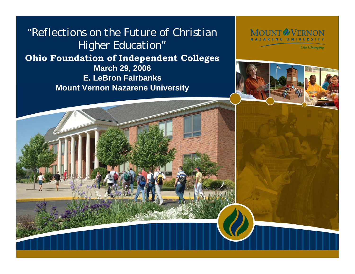"*Reflections on the Future of Christian Higher Education"* **Ohio Foundation of Independent Colleges March 29, 2006 E. LeBron Fairbanks Mount Vernon Nazarene University**



**Life Changing** 

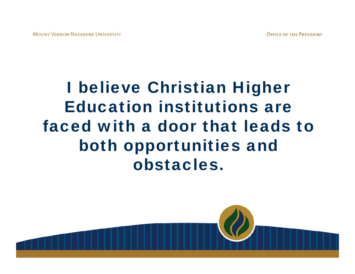# I believe Christian Higher Education institutions are faced with a door that leads to both opportunities and obstacles.

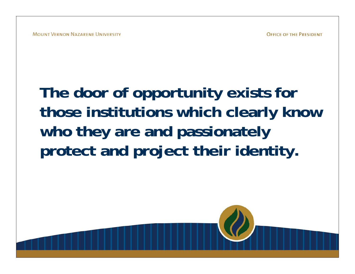# **The door of opportunity exists for those institutions which clearly know who they are and passionately protect and project their identity.**

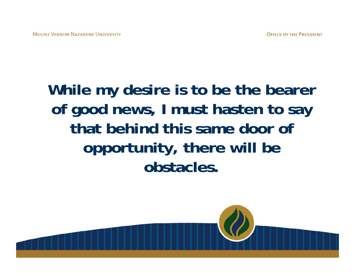## **While my desire is to be the bearer of good news, I must hasten to say that behind this same door of opportunity, there will be obstacles.**

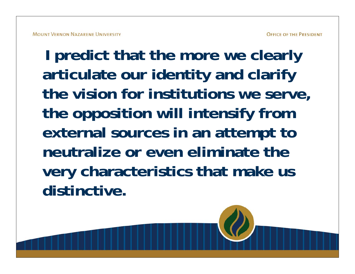**I predict that the more we clearly articulate our identity and clarify the vision for institutions we serve, the opposition will intensify from external sources in an attempt to neutralize or even eliminate the very characteristics that make us distinctive.**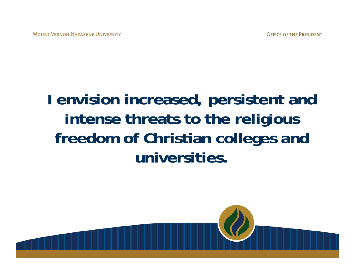## **I envision increased, persistent and intense threats to the religious freedom of Christian colleges and universities.**

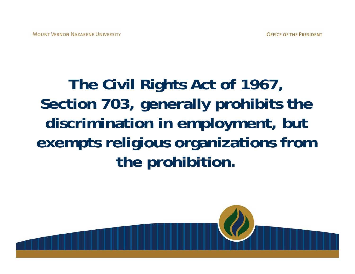# **The Civil Rights Act of 1967, Section 703, generally prohibits the discrimination in employment, but exempts religious organizations from the prohibition.**

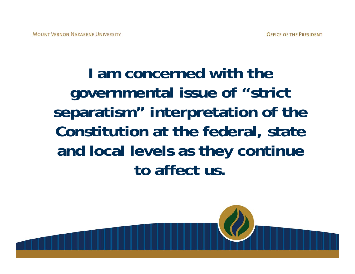# **I am concerned with the governmental issue of "strict separatism" interpretation of the Constitution at the federal, state and local levels as they continue to affect us.**

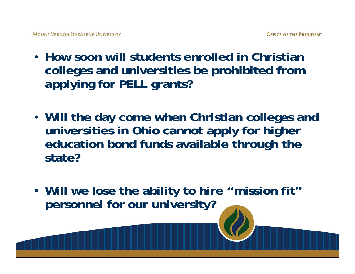- **How soon will students enrolled in Christian colleges and universities be prohibited from applying for PELL grants?**
- **Will the day come when Christian colleges and universities in Ohio cannot apply for higher education bond funds available through the state?**
- **Will we lose the ability to hire "mission fit" personnel for our university?**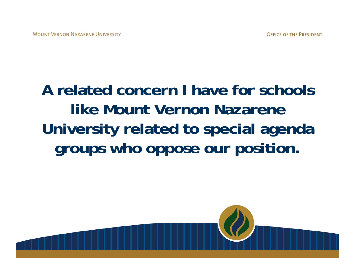# **A related concern I have for schools like Mount Vernon Nazarene University related to special agenda groups who oppose our position.**

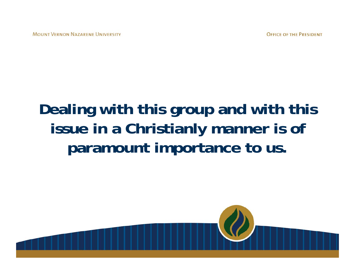## **Dealing with this group and with this issue in a Christianly manner is of paramount importance to us.**

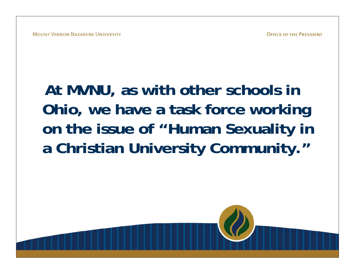# **At MVNU, as with other schools in Ohio, we have a task force working on the issue of "Human Sexuality in a Christian University Community."**

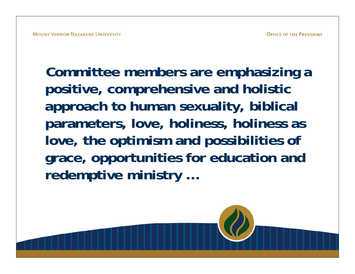**Committee members are emphasizing a positive, comprehensive and holistic approach to human sexuality, biblical parameters, love, holiness, holiness as love, the optimism and possibilities of grace, opportunities for education and redemptive ministry …**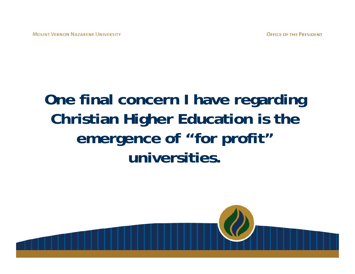### **One final concern I have regarding Christian Higher Education is the emergence of "for profit" universities.**

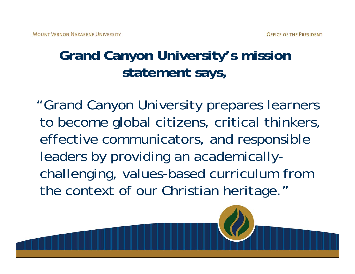#### **Grand Canyon University's mission statement says,**

"Grand Canyon University prepares learners to become global citizens, critical thinkers, effective communicators, and responsible leaders by providing an academicallychallenging, values-based curriculum from the context of our Christian heritage."